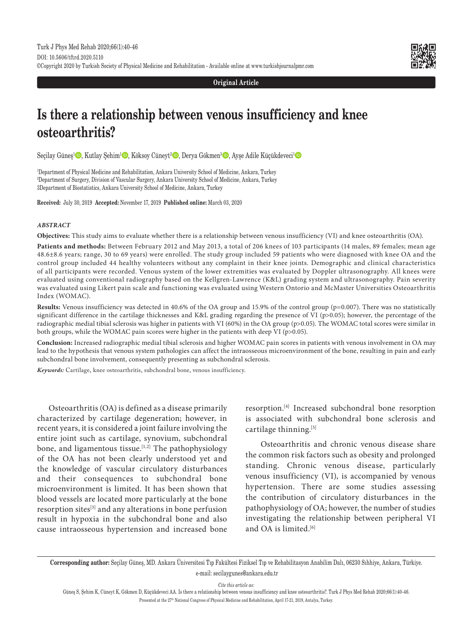

**Original Article**

# **Is there a relationship between venous insufficiency and knee osteoarthritis?**

Seçilay Güneş<sup>1</sup> D, Kutlay Şehim<sup>1</sup> D, Köksoy Cüneyt<sup>2</sup> D, Derya Gökmen<sup>3</sup> D, Ayşe Adile Küçükdeveci<sup>1</sup> D

1 Department of Physical Medicine and Rehabilitation, Ankara University School of Medicine, Ankara, Turkey 2 Department of Surgery, Division of Vascular Surgery, Ankara University School of Medicine, Ankara, Turkey 3Department of Biostatistics, Ankara University School of Medicine, Ankara, Turkey

**Received:** July 30, 2019 **Accepted:** November 17, 2019 **Published online:** March 03, 2020

## *ABSTRACT*

**Objectives:** This study aims to evaluate whether there is a relationship between venous insufficiency (VI) and knee osteoarthritis (OA).

**Patients and methods:** Between February 2012 and May 2013, a total of 206 knees of 103 participants (14 males, 89 females; mean age 48.6±8.6 years; range, 30 to 69 years) were enrolled. The study group included 59 patients who were diagnosed with knee OA and the control group included 44 healthy volunteers without any complaint in their knee joints. Demographic and clinical characteristics of all participants were recorded. Venous system of the lower extremities was evaluated by Doppler ultrasonography. All knees were evaluated using conventional radiography based on the Kellgren-Lawrence (K&L) grading system and ultrasonography. Pain severity was evaluated using Likert pain scale and functioning was evaluated using Western Ontorio and McMaster Universities Osteoarthritis Index (WOMAC).

**Results:** Venous insufficiency was detected in 40.6% of the OA group and 15.9% of the control group (p=0.007). There was no statistically significant difference in the cartilage thicknesses and K&L grading regarding the presence of VI (p>0.05); however, the percentage of the radiographic medial tibial sclerosis was higher in patients with VI (60%) in the OA group (p>0.05). The WOMAC total scores were similar in both groups, while the WOMAC pain scores were higher in the patients with deep VI (p>0.05).

**Conclusion:** Increased radiographic medial tibial sclerosis and higher WOMAC pain scores in patients with venous involvement in OA may lead to the hypothesis that venous system pathologies can affect the intraosseous microenvironment of the bone, resulting in pain and early subchondral bone involvement, consequently presenting as subchondral sclerosis.

*Keywords:* Cartilage, knee osteoarthritis, subchondral bone, venous insufficiency.

Osteoarthritis (OA) is defined as a disease primarily characterized by cartilage degeneration; however, in recent years, it is considered a joint failure involving the entire joint such as cartilage, synovium, subchondral bone, and ligamentous tissue.<sup>[1,2]</sup> The pathophysiology of the OA has not been clearly understood yet and the knowledge of vascular circulatory disturbances and their consequences to subchondral bone microenvironment is limited. It has been shown that blood vessels are located more particularly at the bone resorption sites<sup>[3]</sup> and any alterations in bone perfusion result in hypoxia in the subchondral bone and also cause intraosseous hypertension and increased bone resorption.[4] Increased subchondral bone resorption is associated with subchondral bone sclerosis and cartilage thinning.<sup>[5]</sup>

 Osteoarthritis and chronic venous disease share the common risk factors such as obesity and prolonged standing. Chronic venous disease, particularly venous insufficiency (VI), is accompanied by venous hypertension. There are some studies assessing the contribution of circulatory disturbances in the pathophysiology of OA; however, the number of studies investigating the relationship between peripheral VI and OA is limited.<sup>[6]</sup>

*Cite this article as:*

Güneş S, Şehim K, Cüneyt K, Gökmen D, Küçükdeveci AA. Is there a relationship between venous insufficiency and knee osteoarthritis?. Turk J Phys Med Rehab 2020;66(1):40-46. Presented at the 27th National Congress of Physical Medicine and Rehabilitation, April 17-21, 2019, Antalya, Turkey.

**Corresponding author:** Seçilay Güneş, MD. Ankara Üniversitesi Tıp Fakültesi Fiziksel Tıp ve Rehabilitasyon Anabilim Dalı, 06230 Sıhhiye, Ankara, Türkiye. e-mail: secilaygunes@ankara.edu.tr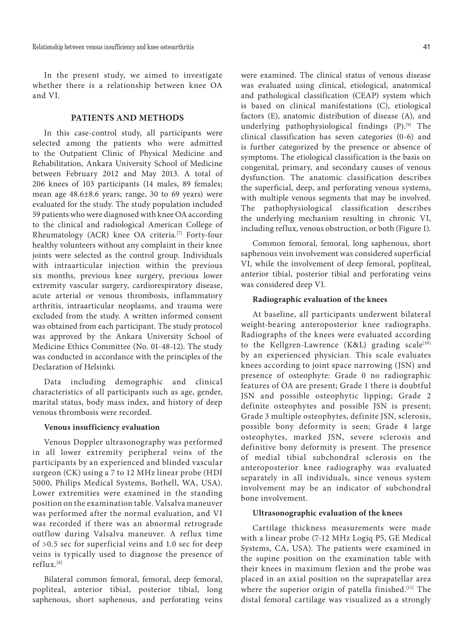In the present study, we aimed to investigate whether there is a relationship between knee OA and VI.

## **PATIENTS AND METHODS**

In this case-control study, all participants were selected among the patients who were admitted to the Outpatient Clinic of Physical Medicine and Rehabilitation, Ankara University School of Medicine between February 2012 and May 2013. A total of 206 knees of 103 participants (14 males, 89 females; mean age 48.6±8.6 years; range, 30 to 69 years) were evaluated for the study. The study population included 59 patients who were diagnosed with knee OA according to the clinical and radiological American College of Rheumatology (ACR) knee OA criteria.[7] Forty-four healthy volunteers without any complaint in their knee joints were selected as the control group. Individuals with intraarticular injection within the previous six months, previous knee surgery, previous lower extremity vascular surgery, cardiorespiratory disease, acute arterial or venous thrombosis, inflammatory arthritis, intraarticular neoplasms, and trauma were excluded from the study. A written informed consent was obtained from each participant. The study protocol was approved by the Ankara University School of Medicine Ethics Committee (No. 01-48-12). The study was conducted in accordance with the principles of the Declaration of Helsinki.

Data including demographic and clinical characteristics of all participants such as age, gender, marital status, body mass index, and history of deep venous thrombosis were recorded.

## **Venous insufficiency evaluation**

Venous Doppler ultrasonography was performed in all lower extremity peripheral veins of the participants by an experienced and blinded vascular surgeon (CK) using a 7 to 12 MHz linear probe (HDI 5000, Philips Medical Systems, Bothell, WA, USA). Lower extremities were examined in the standing position on the examination table. Valsalva maneuver was performed after the normal evaluation, and VI was recorded if there was an abnormal retrograde outflow during Valsalva maneuver. A reflux time of >0.5 sec for superficial veins and 1.0 sec for deep veins is typically used to diagnose the presence of reflux.[8]

Bilateral common femoral, femoral, deep femoral, popliteal, anterior tibial, posterior tibial, long saphenous, short saphenous, and perforating veins were examined. The clinical status of venous disease was evaluated using clinical, etiological, anatomical and pathological classification (CEAP) system which is based on clinical manifestations (C), etiological factors (E), anatomic distribution of disease (A), and underlying pathophysiological findings (P).<sup>[9]</sup> The clinical classification has seven categories (0-6) and is further categorized by the presence or absence of symptoms. The etiological classification is the basis on congenital, primary, and secondary causes of venous dysfunction. The anatomic classification describes the superficial, deep, and perforating venous systems, with multiple venous segments that may be involved. The pathophysiological classification describes the underlying mechanism resulting in chronic VI, including reflux, venous obstruction, or both (Figure 1).

Common femoral, femoral, long saphenous, short saphenous vein involvement was considered superficial VI, while the involvement of deep femoral, popliteal, anterior tibial, posterior tibial and perforating veins was considered deep VI.

## **Radiographic evaluation of the knees**

At baseline, all participants underwent bilateral weight-bearing anteroposterior knee radiographs. Radiographs of the knees were evaluated according to the Kellgren-Lawrence (K&L) grading scale[10] by an experienced physician. This scale evaluates knees according to joint space narrowing (JSN) and presence of osteophyte: Grade 0 no radiographic features of OA are present; Grade 1 there is doubtful JSN and possible osteophytic lipping; Grade 2 definite osteophytes and possible JSN is present; Grade 3 multiple osteophytes, definite JSN, sclerosis, possible bony deformity is seen; Grade 4 large osteophytes, marked JSN, severe sclerosis and definitive bony deformity is present. The presence of medial tibial subchondral sclerosis on the anteroposterior knee radiography was evaluated separately in all individuals, since venous system involvement may be an indicator of subchondral bone involvement.

## **Ultrasonographic evaluation of the knees**

Cartilage thickness measurements were made with a linear probe (7-12 MHz Logiq P5, GE Medical Systems, CA, USA). The patients were examined in the supine position on the examination table with their knees in maximum flexion and the probe was placed in an axial position on the suprapatellar area where the superior origin of patella finished.[11] The distal femoral cartilage was visualized as a strongly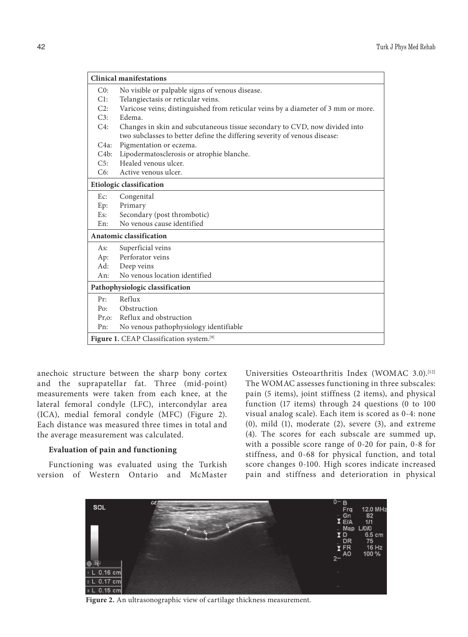|              | <b>Clinical manifestations</b>                                                    |
|--------------|-----------------------------------------------------------------------------------|
| C0:          | No visible or palpable signs of venous disease.                                   |
| Cl:          | Telangiectasis or reticular veins.                                                |
| C2:          | Varicose veins; distinguished from reticular veins by a diameter of 3 mm or more. |
| C3:          | Edema.                                                                            |
| $C4$ :       | Changes in skin and subcutaneous tissue secondary to CVD, now divided into        |
|              | two subclasses to better define the differing severity of venous disease:         |
| $C4a$ :      | Pigmentation or eczema.                                                           |
| C4b:         | Lipodermatosclerosis or atrophie blanche.                                         |
| C5:          | Healed venous ulcer.                                                              |
| C6:          | Active venous ulcer.                                                              |
|              | <b>Etiologic classification</b>                                                   |
| Ec:          | Congenital                                                                        |
| Ep:          | Primary                                                                           |
| Es:          | Secondary (post thrombotic)                                                       |
| En:          | No venous cause identified                                                        |
|              | <b>Anatomic classification</b>                                                    |
| As:          | Superficial veins                                                                 |
| Ap:          | Perforator veins                                                                  |
| Ad:          | Deep veins                                                                        |
| An:          | No venous location identified                                                     |
|              | Pathophysiologic classification                                                   |
| Pr:          | Reflux                                                                            |
| $P_{\Omega}$ | Obstruction                                                                       |
| $Pr,$ o:     | Reflux and obstruction                                                            |
| Pn:          | No venous pathophysiology identifiable                                            |
|              | Figure 1. CEAP Classification system.[9]                                          |

anechoic structure between the sharp bony cortex and the suprapatellar fat. Three (mid-point) measurements were taken from each knee, at the lateral femoral condyle (LFC), intercondylar area (ICA), medial femoral condyle (MFC) (Figure 2). Each distance was measured three times in total and the average measurement was calculated.

## **Evaluation of pain and functioning**

Functioning was evaluated using the Turkish version of Western Ontario and McMaster Universities Osteoarthritis Index (WOMAC 3.0).[12] The WOMAC assesses functioning in three subscales: pain (5 items), joint stiffness (2 items), and physical function (17 items) through 24 questions (0 to 100 visual analog scale). Each item is scored as 0-4: none (0), mild (1), moderate (2), severe (3), and extreme (4). The scores for each subscale are summed up, with a possible score range of 0-20 for pain, 0-8 for stiffness, and 0-68 for physical function, and total score changes 0-100. High scores indicate increased pain and stiffness and deterioration in physical



**Figure 2.** An ultrasonographic view of cartilage thickness measurement.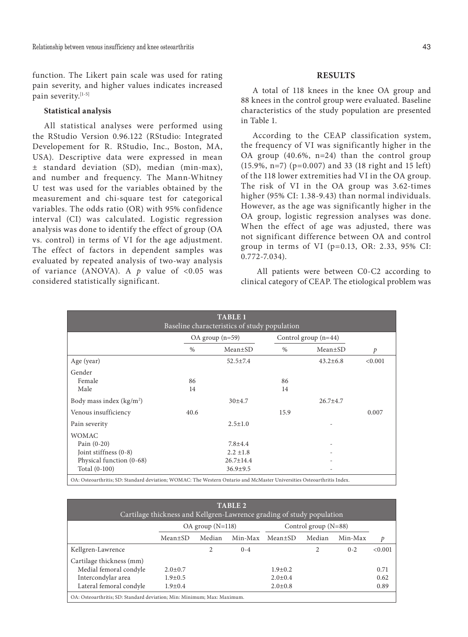function. The Likert pain scale was used for rating pain severity, and higher values indicates increased pain severity.[1-5]

## **Statistical analysis**

All statistical analyses were performed using the RStudio Version 0.96.122 (RStudio: Integrated Developement for R. RStudio, Inc., Boston, MA, USA). Descriptive data were expressed in mean ± standard deviation (SD), median (min-max), and number and frequency. The Mann-Whitney U test was used for the variables obtained by the measurement and chi-square test for categorical variables. The odds ratio (OR) with 95% confidence interval (CI) was calculated. Logistic regression analysis was done to identify the effect of group (OA vs. control) in terms of VI for the age adjustment. The effect of factors in dependent samples was evaluated by repeated analysis of two-way analysis of variance (ANOVA). A *p* value of <0.05 was considered statistically significant.

## **RESULTS**

A total of 118 knees in the knee OA group and 88 knees in the control group were evaluated. Baseline characteristics of the study population are presented in Table 1.

According to the CEAP classification system, the frequency of VI was significantly higher in the OA group (40.6%, n=24) than the control group (15.9%, n=7) (p=0.007) and 33 (18 right and 15 left) of the 118 lower extremities had VI in the OA group. The risk of VI in the OA group was 3.62-times higher (95% CI: 1.38-9.43) than normal individuals. However, as the age was significantly higher in the OA group, logistic regression analyses was done. When the effect of age was adjusted, there was not significant difference between OA and control group in terms of VI (p=0.13, OR: 2.33, 95% CI: 0.772-7.034).

 All patients were between C0-C2 according to clinical category of CEAP. The etiological problem was

| <b>TABLE 1</b><br>Baseline characteristics of study population |               |                     |                      |                |         |  |  |
|----------------------------------------------------------------|---------------|---------------------|----------------------|----------------|---------|--|--|
|                                                                |               | $OA$ group $(n=59)$ | Control group (n=44) |                |         |  |  |
|                                                                | $\frac{0}{0}$ | $Mean \pm SD$       | $\frac{0}{0}$        | Mean±SD        | p       |  |  |
| Age (year)                                                     |               | $52.5 \pm 7.4$      |                      | $43.2 \pm 6.8$ | < 0.001 |  |  |
| Gender                                                         |               |                     |                      |                |         |  |  |
| Female                                                         | 86            |                     | 86                   |                |         |  |  |
| Male                                                           | 14            |                     | 14                   |                |         |  |  |
| Body mass index $(kg/m2)$                                      |               | 30±4.7              |                      | $26.7 + 4.7$   |         |  |  |
| Venous insufficiency                                           | 40.6          |                     | 15.9                 |                | 0.007   |  |  |
| Pain severity                                                  |               | $2.5 \pm 1.0$       |                      |                |         |  |  |
| <b>WOMAC</b>                                                   |               |                     |                      |                |         |  |  |
| Pain $(0-20)$                                                  |               | $7.8 + 4.4$         |                      |                |         |  |  |
| Joint stiffness (0-8)                                          |               | $2.2 \pm 1.8$       |                      |                |         |  |  |
| Physical function (0-68)                                       |               | $26.7 \pm 14.4$     |                      |                |         |  |  |
| Total (0-100)                                                  |               | $36.9 \pm 9.5$      |                      |                |         |  |  |

OA: Osteoarthritis; SD: Standard deviation; WOMAC: The Western Ontario and McMaster Universities Osteoarthritis Index.

| <b>TABLE 2</b><br>Cartilage thickness and Kellgren-Lawrence grading of study population |                      |        |         |                        |                |         |         |
|-----------------------------------------------------------------------------------------|----------------------|--------|---------|------------------------|----------------|---------|---------|
|                                                                                         | $OA$ group $(N=118)$ |        |         | Control group $(N=88)$ |                |         |         |
|                                                                                         | $Mean \pm SD$        | Median | Min-Max | $Mean \pm SD$          | Median         | Min-Max | p       |
| Kellgren-Lawrence                                                                       |                      | 2      | $0 - 4$ |                        | $\mathfrak{D}$ | $0 - 2$ | < 0.001 |
| Cartilage thickness (mm)                                                                |                      |        |         |                        |                |         |         |
| Medial femoral condyle                                                                  | $2.0 \pm 0.7$        |        |         | $1.9 \pm 0.2$          |                |         | 0.71    |
| Intercondylar area                                                                      | $1.9 \pm 0.5$        |        |         | $2.0 \pm 0.4$          |                |         | 0.62    |
| Lateral femoral condyle                                                                 | $1.9 + 0.4$          |        |         | $2.0 \pm 0.8$          |                |         | 0.89    |
| OA: Osteoarthritis: SD: Standard deviation: Min: Minimum: Max: Maximum.                 |                      |        |         |                        |                |         |         |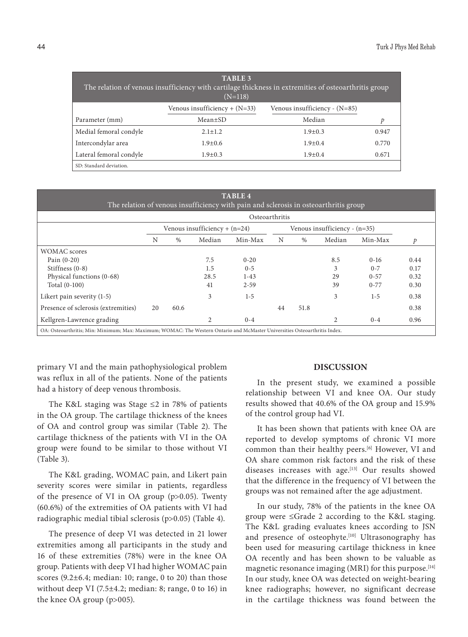|                         | TABLE 3<br>The relation of venous insufficiency with cartilage thickness in extremities of osteoarthritis group<br>$(N=118)$ |               |       |  |  |  |  |
|-------------------------|------------------------------------------------------------------------------------------------------------------------------|---------------|-------|--|--|--|--|
|                         | Venous insufficiency $+ (N=33)$<br>Venous insufficiency - $(N=85)$                                                           |               |       |  |  |  |  |
| Parameter (mm)          | Mean±SD                                                                                                                      | Median        | р     |  |  |  |  |
| Medial femoral condyle  | $2.1 \pm 1.2$                                                                                                                | $1.9 \pm 0.3$ | 0.947 |  |  |  |  |
| Intercondylar area      | $1.9 + 0.6$                                                                                                                  | $1.9 + 0.4$   | 0.770 |  |  |  |  |
| Lateral femoral condyle | $1.9 + 0.3$                                                                                                                  | $1.9 + 0.4$   | 0.671 |  |  |  |  |
| SD: Standard deviation. |                                                                                                                              |               |       |  |  |  |  |

| <b>TABLE 4</b><br>The relation of venous insufficiency with pain and sclerosis in osteoarthritis group |      |        |          |    |                                 |        |          |      |  |
|--------------------------------------------------------------------------------------------------------|------|--------|----------|----|---------------------------------|--------|----------|------|--|
| Osteoarthritis                                                                                         |      |        |          |    |                                 |        |          |      |  |
| Venous insufficiency + $(n=24)$                                                                        |      |        |          |    | Venous insufficiency - $(n=35)$ |        |          |      |  |
| N                                                                                                      | $\%$ | Median | Min-Max  | N  | %                               | Median | Min-Max  | p    |  |
|                                                                                                        |      |        |          |    |                                 |        |          |      |  |
|                                                                                                        |      | 7.5    | $0 - 20$ |    |                                 | 8.5    | $0-16$   | 0.44 |  |
|                                                                                                        |      | 1.5    | $0 - 5$  |    |                                 | 3      | $0 - 7$  | 0.17 |  |
|                                                                                                        |      | 28.5   | $1 - 43$ |    |                                 | 29     | $0 - 57$ | 0.32 |  |
|                                                                                                        |      | 41     | $2 - 59$ |    |                                 | 39     | $0 - 77$ | 0.30 |  |
|                                                                                                        |      | 3      | $1-5$    |    |                                 | 3      | $1 - 5$  | 0.38 |  |
| 20                                                                                                     | 60.6 |        |          | 44 | 51.8                            |        |          | 0.38 |  |
|                                                                                                        |      | 2      | $0 - 4$  |    |                                 | 2      | $0 - 4$  | 0.96 |  |
|                                                                                                        |      |        |          |    |                                 |        |          |      |  |

primary VI and the main pathophysiological problem was reflux in all of the patients. None of the patients had a history of deep venous thrombosis.

The K&L staging was Stage ≤2 in 78% of patients in the OA group. The cartilage thickness of the knees of OA and control group was similar (Table 2). The cartilage thickness of the patients with VI in the OA group were found to be similar to those without VI (Table 3).

The K&L grading, WOMAC pain, and Likert pain severity scores were similar in patients, regardless of the presence of VI in OA group (p>0.05). Twenty (60.6%) of the extremities of OA patients with VI had radiographic medial tibial sclerosis (p>0.05) (Table 4).

The presence of deep VI was detected in 21 lower extremities among all participants in the study and 16 of these extremities (78%) were in the knee OA group. Patients with deep VI had higher WOMAC pain scores  $(9.2\pm6.4;$  median: 10; range, 0 to 20) than those without deep VI (7.5 $\pm$ 4.2; median: 8; range, 0 to 16) in the knee OA group (p>005).

## **DISCUSSION**

In the present study, we examined a possible relationship between VI and knee OA. Our study results showed that 40.6% of the OA group and 15.9% of the control group had VI.

It has been shown that patients with knee OA are reported to develop symptoms of chronic VI more common than their healthy peers.[6] However, VI and OA share common risk factors and the risk of these diseases increases with age.<sup>[13]</sup> Our results showed that the difference in the frequency of VI between the groups was not remained after the age adjustment.

In our study, 78% of the patients in the knee OA group were ≤Grade 2 according to the K&L staging. The K&L grading evaluates knees according to JSN and presence of osteophyte.<sup>[10]</sup> Ultrasonography has been used for measuring cartilage thickness in knee OA recently and has been shown to be valuable as magnetic resonance imaging (MRI) for this purpose.<sup>[14]</sup> In our study, knee OA was detected on weight-bearing knee radiographs; however, no significant decrease in the cartilage thickness was found between the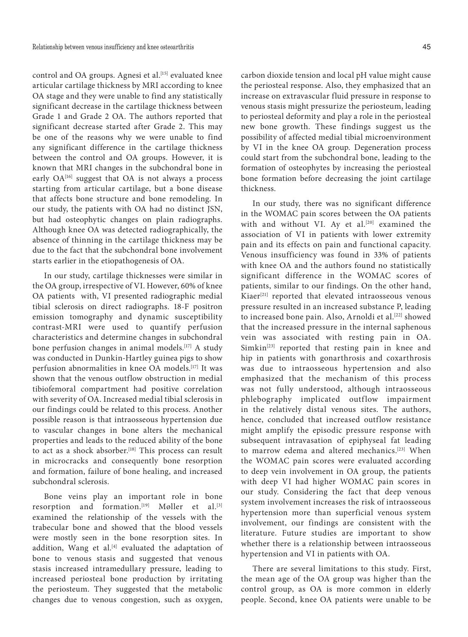control and OA groups. Agnesi et al.<sup>[15]</sup> evaluated knee articular cartilage thickness by MRI according to knee OA stage and they were unable to find any statistically significant decrease in the cartilage thickness between Grade 1 and Grade 2 OA. The authors reported that significant decrease started after Grade 2. This may be one of the reasons why we were unable to find any significant difference in the cartilage thickness between the control and OA groups. However, it is known that MRI changes in the subchondral bone in early OA<sup>[16]</sup> suggest that OA is not always a process starting from articular cartilage, but a bone disease that affects bone structure and bone remodeling. In our study, the patients with OA had no distinct JSN, but had osteophytic changes on plain radiographs. Although knee OA was detected radiographically, the absence of thinning in the cartilage thickness may be due to the fact that the subchondral bone involvement starts earlier in the etiopathogenesis of OA.

In our study, cartilage thicknesses were similar in the OA group, irrespective of VI. However, 60% of knee OA patients with, VI presented radiographic medial tibial sclerosis on direct radiographs. 18-F positron emission tomography and dynamic susceptibility contrast-MRI were used to quantify perfusion characteristics and determine changes in subchondral bone perfusion changes in animal models.<sup>[17]</sup> A study was conducted in Dunkin-Hartley guinea pigs to show perfusion abnormalities in knee OA models.[17] It was shown that the venous outflow obstruction in medial tibiofemoral compartment had positive correlation with severity of OA. Increased medial tibial sclerosis in our findings could be related to this process. Another possible reason is that intraosseous hypertension due to vascular changes in bone alters the mechanical properties and leads to the reduced ability of the bone to act as a shock absorber.<sup>[18]</sup> This process can result in microcracks and consequently bone resorption and formation, failure of bone healing, and increased subchondral sclerosis.

Bone veins play an important role in bone resorption and formation.[19] Møller et al.[3] examined the relationship of the vessels with the trabecular bone and showed that the blood vessels were mostly seen in the bone resorption sites. In addition, Wang et al. $[4]$  evaluated the adaptation of bone to venous stasis and suggested that venous stasis increased intramedullary pressure, leading to increased periosteal bone production by irritating the periosteum. They suggested that the metabolic changes due to venous congestion, such as oxygen,

carbon dioxide tension and local pH value might cause the periosteal response. Also, they emphasized that an increase on extravascular fluid pressure in response to venous stasis might pressurize the periosteum, leading to periosteal deformity and play a role in the periosteal new bone growth. These findings suggest us the possibility of affected medial tibial microenvironment by VI in the knee OA group. Degeneration process could start from the subchondral bone, leading to the formation of osteophytes by increasing the periosteal bone formation before decreasing the joint cartilage thickness.

In our study, there was no significant difference in the WOMAC pain scores between the OA patients with and without VI. Ay et al.<sup>[20]</sup> examined the association of VI in patients with lower extremity pain and its effects on pain and functional capacity. Venous insufficiency was found in 33% of patients with knee OA and the authors found no statistically significant difference in the WOMAC scores of patients, similar to our findings. On the other hand, Kiaer[21] reported that elevated intraosseous venous pressure resulted in an increased substance P, leading to increased bone pain. Also, Arnoldi et al.<sup>[22]</sup> showed that the increased pressure in the internal saphenous vein was associated with resting pain in OA.  $Similarly in [23]$  reported that resting pain in knee and hip in patients with gonarthrosis and coxarthrosis was due to intraosseous hypertension and also emphasized that the mechanism of this process was not fully understood, although intraosseous phlebography implicated outflow impairment in the relatively distal venous sites. The authors, hence, concluded that increased outflow resistance might amplify the episodic pressure response with subsequent intravasation of epiphyseal fat leading to marrow edema and altered mechanics.[23] When the WOMAC pain scores were evaluated according to deep vein involvement in OA group, the patients with deep VI had higher WOMAC pain scores in our study. Considering the fact that deep venous system involvement increases the risk of intraosseous hypertension more than superficial venous system involvement, our findings are consistent with the literature. Future studies are important to show whether there is a relationship between intraosseous hypertension and VI in patients with OA.

There are several limitations to this study. First, the mean age of the OA group was higher than the control group, as OA is more common in elderly people. Second, knee OA patients were unable to be